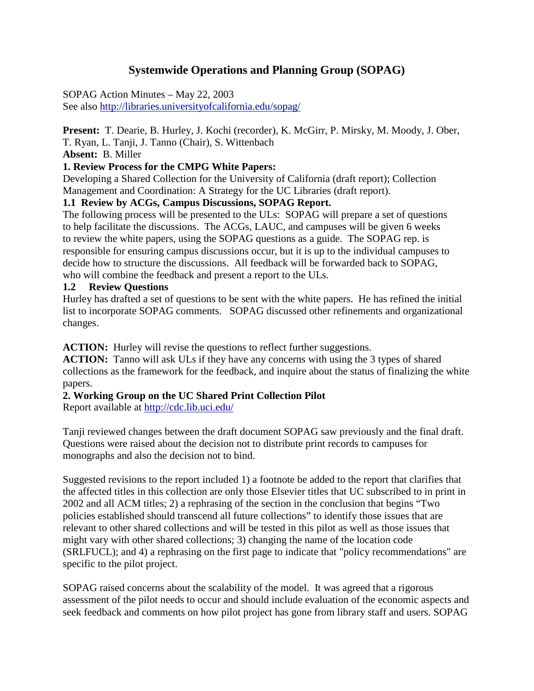# **Systemwide Operations and Planning Group (SOPAG)**

SOPAG Action Minutes – May 22, 2003 See also http://libraries.universityofcalifornia.edu/sopag/

**Present:** T. Dearie, B. Hurley, J. Kochi (recorder), K. McGirr, P. Mirsky, M. Moody, J. Ober, T. Ryan, L. Tanji, J. Tanno (Chair), S. Wittenbach

**Absent:** B. Miller

### **1. Review Process for the CMPG White Papers:**

Developing a Shared Collection for the University of California (draft report); Collection Management and Coordination: A Strategy for the UC Libraries (draft report).

### **1.1 Review by ACGs, Campus Discussions, SOPAG Report.**

The following process will be presented to the ULs: SOPAG will prepare a set of questions to help facilitate the discussions. The ACGs, LAUC, and campuses will be given 6 weeks to review the white papers, using the SOPAG questions as a guide. The SOPAG rep. is responsible for ensuring campus discussions occur, but it is up to the individual campuses to decide how to structure the discussions. All feedback will be forwarded back to SOPAG, who will combine the feedback and present a report to the ULs.

### **1.2 Review Questions**

Hurley has drafted a set of questions to be sent with the white papers. He has refined the initial list to incorporate SOPAG comments. SOPAG discussed other refinements and organizational changes.

**ACTION:** Hurley will revise the questions to reflect further suggestions.

**ACTION:** Tanno will ask ULs if they have any concerns with using the 3 types of shared collections as the framework for the feedback, and inquire about the status of finalizing the white papers.

## **2. Working Group on the UC Shared Print Collection Pilot**

Report available at<http://cdc.lib.uci.edu/>

Tanji reviewed changes between the draft document SOPAG saw previously and the final draft. Questions were raised about the decision not to distribute print records to campuses for monographs and also the decision not to bind.

Suggested revisions to the report included 1) a footnote be added to the report that clarifies that the affected titles in this collection are only those Elsevier titles that UC subscribed to in print in 2002 and all ACM titles; 2) a rephrasing of the section in the conclusion that begins "Two policies established should transcend all future collections" to identify those issues that are relevant to other shared collections and will be tested in this pilot as well as those issues that might vary with other shared collections; 3) changing the name of the location code (SRLFUCL); and 4) a rephrasing on the first page to indicate that "policy recommendations" are specific to the pilot project.

SOPAG raised concerns about the scalability of the model. It was agreed that a rigorous assessment of the pilot needs to occur and should include evaluation of the economic aspects and seek feedback and comments on how pilot project has gone from library staff and users. SOPAG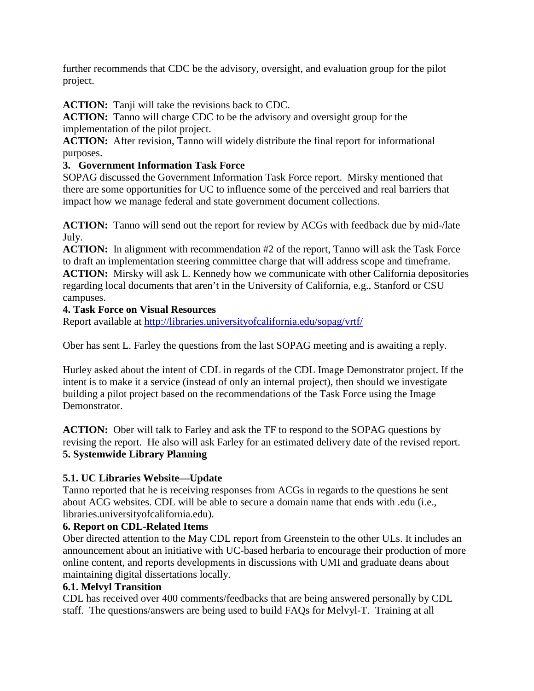further recommends that CDC be the advisory, oversight, and evaluation group for the pilot project.

**ACTION:** Tanji will take the revisions back to CDC.

**ACTION:** Tanno will charge CDC to be the advisory and oversight group for the implementation of the pilot project.

**ACTION:** After revision, Tanno will widely distribute the final report for informational purposes.

## **3. Government Information Task Force**

SOPAG discussed the Government Information Task Force report. Mirsky mentioned that there are some opportunities for UC to influence some of the perceived and real barriers that impact how we manage federal and state government document collections.

**ACTION:** Tanno will send out the report for review by ACGs with feedback due by mid-/late July.

**ACTION:** In alignment with recommendation #2 of the report, Tanno will ask the Task Force to draft an implementation steering committee charge that will address scope and timeframe. **ACTION:** Mirsky will ask L. Kennedy how we communicate with other California depositories regarding local documents that aren't in the University of California, e.g., Stanford or CSU campuses.

## **4. Task Force on Visual Resources**

Report available at<http://libraries.universityofcalifornia.edu/sopag/vrtf/>

Ober has sent L. Farley the questions from the last SOPAG meeting and is awaiting a reply.

Hurley asked about the intent of CDL in regards of the CDL Image Demonstrator project. If the intent is to make it a service (instead of only an internal project), then should we investigate building a pilot project based on the recommendations of the Task Force using the Image Demonstrator.

**ACTION:** Ober will talk to Farley and ask the TF to respond to the SOPAG questions by revising the report. He also will ask Farley for an estimated delivery date of the revised report. **5. Systemwide Library Planning** 

# **5.1. UC Libraries Website—Update**

Tanno reported that he is receiving responses from ACGs in regards to the questions he sent about ACG websites. CDL will be able to secure a domain name that ends with .edu (i.e., libraries.universityofcalifornia.edu).

## **6. Report on CDL-Related Items**

Ober directed attention to the May CDL report from Greenstein to the other ULs. It includes an announcement about an initiative with UC-based herbaria to encourage their production of more online content, and reports developments in discussions with UMI and graduate deans about maintaining digital dissertations locally.

# **6.1. Melvyl Transition**

CDL has received over 400 comments/feedbacks that are being answered personally by CDL staff. The questions/answers are being used to build FAQs for Melvyl-T. Training at all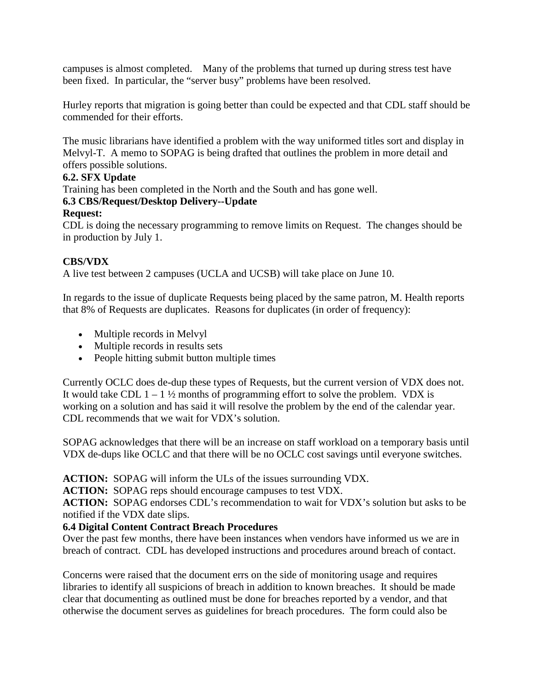campuses is almost completed. Many of the problems that turned up during stress test have been fixed. In particular, the "server busy" problems have been resolved.

Hurley reports that migration is going better than could be expected and that CDL staff should be commended for their efforts.

The music librarians have identified a problem with the way uniformed titles sort and display in Melvyl-T. A memo to SOPAG is being drafted that outlines the problem in more detail and offers possible solutions.

### **6.2. SFX Update**

Training has been completed in the North and the South and has gone well.

### **6.3 CBS/Request/Desktop Delivery--Update**

### **Request:**

CDL is doing the necessary programming to remove limits on Request. The changes should be in production by July 1.

### **CBS/VDX**

A live test between 2 campuses (UCLA and UCSB) will take place on June 10.

In regards to the issue of duplicate Requests being placed by the same patron, M. Health reports that 8% of Requests are duplicates. Reasons for duplicates (in order of frequency):

- Multiple records in Melvyl
- Multiple records in results sets
- People hitting submit button multiple times

Currently OCLC does de-dup these types of Requests, but the current version of VDX does not. It would take CDL  $1 - 1 \frac{1}{2}$  months of programming effort to solve the problem. VDX is working on a solution and has said it will resolve the problem by the end of the calendar year. CDL recommends that we wait for VDX's solution.

SOPAG acknowledges that there will be an increase on staff workload on a temporary basis until VDX de-dups like OCLC and that there will be no OCLC cost savings until everyone switches.

**ACTION:** SOPAG will inform the ULs of the issues surrounding VDX.

**ACTION:** SOPAG reps should encourage campuses to test VDX.

**ACTION:** SOPAG endorses CDL's recommendation to wait for VDX's solution but asks to be notified if the VDX date slips.

### **6.4 Digital Content Contract Breach Procedures**

Over the past few months, there have been instances when vendors have informed us we are in breach of contract. CDL has developed instructions and procedures around breach of contact.

Concerns were raised that the document errs on the side of monitoring usage and requires libraries to identify all suspicions of breach in addition to known breaches. It should be made clear that documenting as outlined must be done for breaches reported by a vendor, and that otherwise the document serves as guidelines for breach procedures. The form could also be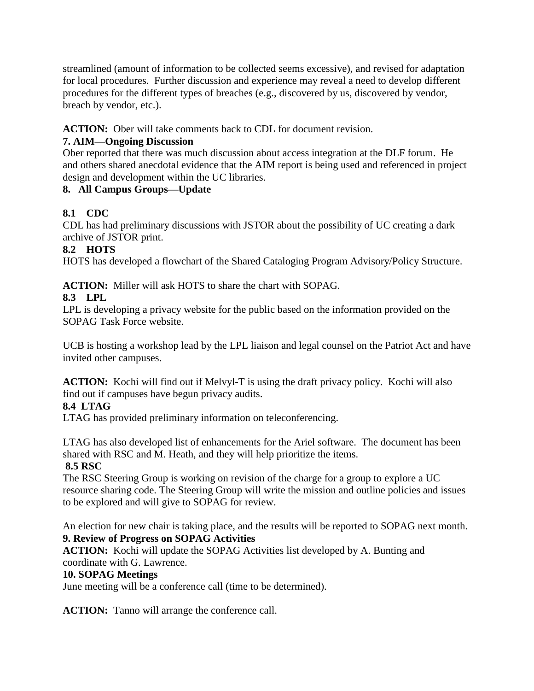streamlined (amount of information to be collected seems excessive), and revised for adaptation for local procedures. Further discussion and experience may reveal a need to develop different procedures for the different types of breaches (e.g., discovered by us, discovered by vendor, breach by vendor, etc.).

## **ACTION:** Ober will take comments back to CDL for document revision.

## **7. AIM—Ongoing Discussion**

Ober reported that there was much discussion about access integration at the DLF forum. He and others shared anecdotal evidence that the AIM report is being used and referenced in project design and development within the UC libraries.

## **8. All Campus Groups—Update**

# **8.1 CDC**

CDL has had preliminary discussions with JSTOR about the possibility of UC creating a dark archive of JSTOR print.

## **8.2 HOTS**

HOTS has developed a flowchart of the Shared Cataloging Program Advisory/Policy Structure.

**ACTION:** Miller will ask HOTS to share the chart with SOPAG.

## **8.3 LPL**

LPL is developing a privacy website for the public based on the information provided on the SOPAG Task Force website.

UCB is hosting a workshop lead by the LPL liaison and legal counsel on the Patriot Act and have invited other campuses.

**ACTION:** Kochi will find out if Melvyl-T is using the draft privacy policy. Kochi will also find out if campuses have begun privacy audits.

# **8.4 LTAG**

LTAG has provided preliminary information on teleconferencing.

LTAG has also developed list of enhancements for the Ariel software. The document has been shared with RSC and M. Heath, and they will help prioritize the items.

# **8.5 RSC**

The RSC Steering Group is working on revision of the charge for a group to explore a UC resource sharing code. The Steering Group will write the mission and outline policies and issues to be explored and will give to SOPAG for review.

An election for new chair is taking place, and the results will be reported to SOPAG next month. **9. Review of Progress on SOPAG Activities** 

**ACTION:** Kochi will update the SOPAG Activities list developed by A. Bunting and coordinate with G. Lawrence.

## **10. SOPAG Meetings**

June meeting will be a conference call (time to be determined).

**ACTION:** Tanno will arrange the conference call.